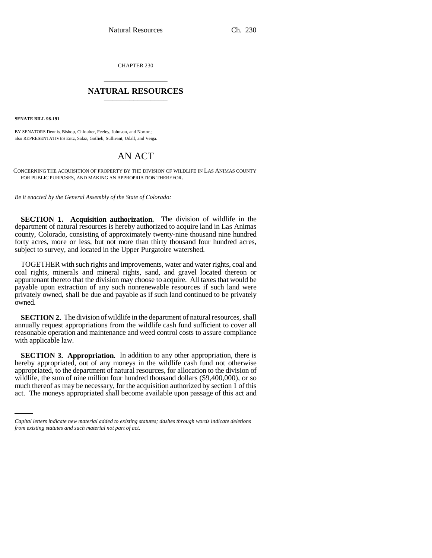CHAPTER 230 \_\_\_\_\_\_\_\_\_\_\_\_\_\_\_

## **NATURAL RESOURCES** \_\_\_\_\_\_\_\_\_\_\_\_\_\_\_

**SENATE BILL 98-191**

BY SENATORS Dennis, Bishop, Chlouber, Feeley, Johnson, and Norton; also REPRESENTATIVES Entz, Salaz, Gotlieb, Sullivant, Udall, and Veiga.

## AN ACT

CONCERNING THE ACQUISITION OF PROPERTY BY THE DIVISION OF WILDLIFE IN LAS ANIMAS COUNTY FOR PUBLIC PURPOSES, AND MAKING AN APPROPRIATION THEREFOR.

*Be it enacted by the General Assembly of the State of Colorado:*

**SECTION 1. Acquisition authorization.** The division of wildlife in the department of natural resources is hereby authorized to acquire land in Las Animas county, Colorado, consisting of approximately twenty-nine thousand nine hundred forty acres, more or less, but not more than thirty thousand four hundred acres, subject to survey, and located in the Upper Purgatoire watershed.

TOGETHER with such rights and improvements, water and water rights, coal and coal rights, minerals and mineral rights, sand, and gravel located thereon or appurtenant thereto that the division may choose to acquire. All taxes that would be payable upon extraction of any such nonrenewable resources if such land were privately owned, shall be due and payable as if such land continued to be privately owned.

**SECTION 2.** The division of wildlife in the department of natural resources, shall annually request appropriations from the wildlife cash fund sufficient to cover all reasonable operation and maintenance and weed control costs to assure compliance with applicable law.

wildlife, the sum of nine million four hundred thousand dollars (\$9,400,000), or so **SECTION 3. Appropriation.** In addition to any other appropriation, there is hereby appropriated, out of any moneys in the wildlife cash fund not otherwise appropriated, to the department of natural resources, for allocation to the division of much thereof as may be necessary, for the acquisition authorized by section 1 of this act. The moneys appropriated shall become available upon passage of this act and

*Capital letters indicate new material added to existing statutes; dashes through words indicate deletions from existing statutes and such material not part of act.*